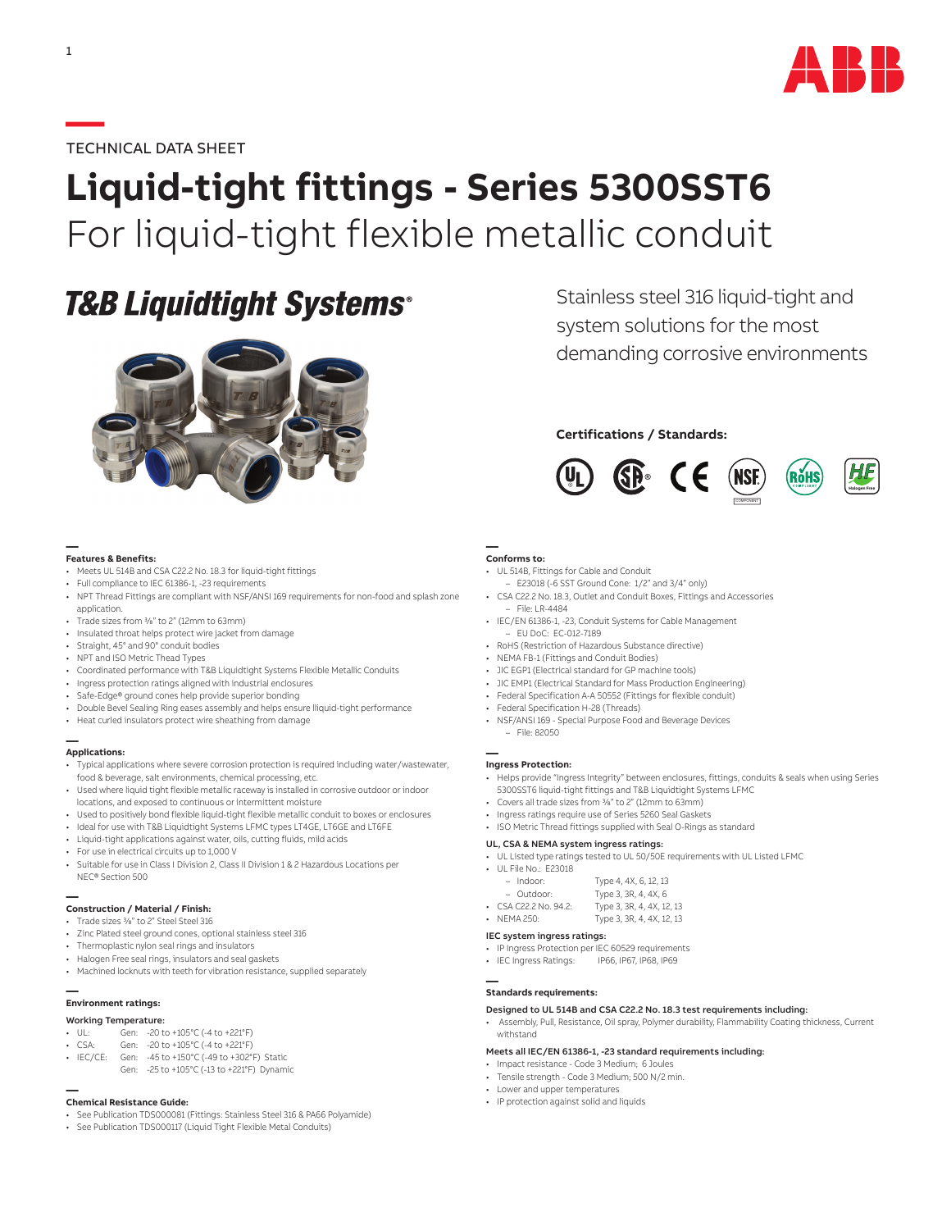

## **—**TECHNICAL DATA SHEET

1

# **Liquid-tight fittings - Series 5300SST6** For liquid-tight flexible metallic conduit

# **T&B Liquidtight Systems®**



#### **— Features & Benefits:**

- Meets UL 514B and CSA C22.2 No. 18.3 for liquid-tight fittings
- Full compliance to IEC 61386-1, -23 requirements
- NPT Thread Fittings are compliant with NSF/ANSI 169 requirements for non-food and splash zone application.
- Trade sizes from 3/8" to 2" (12mm to 63mm)
- Insulated throat helps protect wire jacket from damage
- Straight, 45° and 90° conduit bodies
- NPT and ISO Metric Thead Types
- Coordinated performance with T&B Liquidtight Systems Flexible Metallic Conduits
- Ingress protection ratings aligned with industrial enclosures
- Safe-Edge® ground cones help provide superior bonding
- Double Bevel Sealing Ring eases assembly and helps ensure lliquid-tight performance
- Heat curled insulators protect wire sheathing from damage

#### **— Applications:**

- Typical applications where severe corrosion protection is required including water/wastewater, food & beverage, salt environments, chemical processing, etc.
- Used where liquid tight flexible metallic raceway is installed in corrosive outdoor or indoor locations, and exposed to continuous or intermittent moisture
- Used to positively bond flexible liquid-tight flexible metallic conduit to boxes or enclosures
- Ideal for use with T&B Liquidtight Systems LFMC types LT4GE, LT6GE and LT6FE
- Liquid-tight applications against water, oils, cutting fluids, mild acids • For use in electrical circuits up to 1,000 V
- Suitable for use in Class I Division 2, Class II Division 1 & 2 Hazardous Locations per NEC® Section 500

# **— Construction / Material / Finish:**

- Trade sizes 3/8" to 2" Steel Steel 316
- Zinc Plated steel ground cones, optional stainless steel 316
- Thermoplastic nylon seal rings and insulators
- Halogen Free seal rings, insulators and seal gaskets
- Machined locknuts with teeth for vibration resistance, supplied separately

### **— Environment ratings:**

- Working Temperature:
- UL: Gen: -20 to +105°C (-4 to +221°F)
- CSA: Gen: -20 to +105°C (-4 to +221°F)
- IEC/CE: Gen: -45 to +150°C (-49 to +302°F) Static
- Gen: -25 to +105°C (-13 to +221°F) Dynamic

# **— Chemical Resistance Guide:**

- See Publication TDS000081 (Fittings: Stainless Steel 316 & PA66 Polyamide)
- See Publication TDS000117 (Liquid Tight Flexible Metal Conduits)

# system solutions for the most demanding corrosive environments

Stainless steel 316 liquid-tight and

## **Certifications / Standards:**



## **— Conforms to:**

- UL 514B, Fittings for Cable and Conduit
	- E23018 (-6 SST Ground Cone: 1/2" and 3/4" only)
- CSA C22.2 No. 18.3, Outlet and Conduit Boxes, Fittings and Accessories – File: LR-4484
- IEC/EN 61386-1, -23, Conduit Systems for Cable Management
- EU DoC: EC-012-7189 • RoHS (Restriction of Hazardous Substance directive)
- 
- NEMA FB-1 (Fittings and Conduit Bodies) • JIC EGP1 (Electrical standard for GP machine tools)
- JIC EMP1 (Electrical Standard for Mass Production Engineering)
- Federal Specification A-A 50552 (Fittings for flexible conduit)
- Federal Specification H-28 (Threads)
- NSF/ANSI 169 Special Purpose Food and Beverage Devices
	- File: 82050

# **— Ingress Protection:**

- Helps provide "Ingress Integrity" between enclosures, fittings, conduits & seals when using Series 5300SST6 liquid-tight fittings and T&B Liquidtight Systems LFMC
- Covers all trade sizes from 3/8" to 2" (12mm to 63mm)
- Ingress ratings require use of Series 5260 Seal Gaskets
- ISO Metric Thread fittings supplied with Seal O-Rings as standard

## UL, CSA & NEMA system ingress ratings:

- UL Listed type ratings tested to UL 50/50E requirements with UL Listed LFMC
- UL File No.: E23018

| Indoor:    | Type 4, 4X, 6, 12, 13                   |
|------------|-----------------------------------------|
| $Q$ utdoor | $T_{1}$ ma 2.20 $\Lambda$ AV $\epsilon$ |

| Outdoor:                    | Type 3, 3R, 4, 4X, 6      |
|-----------------------------|---------------------------|
| $\cdot$ CSA C22.2 No. 94.2: | Type 3, 3R, 4, 4X, 12, 13 |

• NEMA 250: Type 3, 3R, 4, 4X, 12, 13

### IEC system ingress ratings:

- IP Ingress Protection per IEC 60529 requirements
- IEC Ingress Ratings: IP66, IP67, IP68, IP69

# **— Standards requirements:**

## Designed to UL 514B and CSA C22.2 No. 18.3 test requirements including:

• Assembly, Pull, Resistance, Oil spray, Polymer durability, Flammability Coating thickness, Current withstand

## Meets all IEC/EN 61386-1, -23 standard requirements including:

- Impact resistance Code 3 Medium; 6 Joules
- Tensile strength Code 3 Medium; 500 N/2 min.
- Lower and upper temperatures • IP protection against solid and liquids